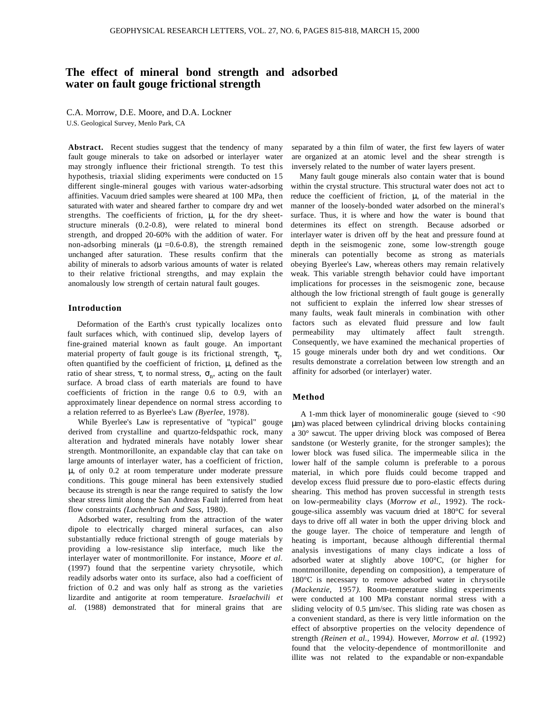# **The effect of mineral bond strength and adsorbed water on fault gouge frictional strength**

C.A. Morrow, D.E. Moore, and D.A. Lockner

U.S. Geological Survey, Menlo Park, CA

**Abstract.** Recent studies suggest that the tendency of many fault gouge minerals to take on adsorbed or interlayer water may strongly influence their frictional strength. To test this hypothesis, triaxial sliding experiments were conducted on 15 different single-mineral gouges with various water-adsorbing affinities. Vacuum dried samples were sheared at 100 MPa, then saturated with water and sheared farther to compare dry and wet strengths. The coefficients of friction,  $\mu$ , for the dry sheetstructure minerals (0.2-0.8), were related to mineral bond strength, and dropped 20-60% with the addition of water. For non-adsorbing minerals ( $\mu$  =0.6-0.8), the strength remained unchanged after saturation. These results confirm that the ability of minerals to adsorb various amounts of water is related to their relative frictional strengths, and may explain the anomalously low strength of certain natural fault gouges.

### **Introduction**

Deformation of the Earth's crust typically localizes onto fault surfaces which, with continued slip, develop layers of fine-grained material known as fault gouge. An important material property of fault gouge is its frictional strength,  $\tau_f$ , often quantified by the coefficient of friction,  $\mu$ , defined as the ratio of shear stress,  $\tau$ , to normal stress,  $\sigma_n$ , acting on the fault surface. A broad class of earth materials are found to have coefficients of friction in the range 0.6 to 0.9, with an approximately linear dependence on normal stress according to a relation referred to as Byerlee's Law *(Byerlee,* 1978).

While Byerlee's Law is representative of "typical" gouge derived from crystalline and quartzo-feldspathic rock, many alteration and hydrated minerals have notably lower shear strength. Montmorillonite, an expandable clay that can take on large amounts of interlayer water, has a coefficient of friction, µ, of only 0.2 at room temperature under moderate pressure conditions. This gouge mineral has been extensively studied because its strength is near the range required to satisfy the low shear stress limit along the San Andreas Fault inferred from heat flow constraints *(Lachenbruch and Sass,* 1980).

Adsorbed water, resulting from the attraction of the water dipole to electrically charged mineral surfaces, can also substantially reduce frictional strength of gouge materials by providing a low-resistance slip interface, much like the interlayer water of montmorillonite. For instance, *Moore et al.* (1997) found that the serpentine variety chrysotile, which readily adsorbs water onto its surface, also had a coefficient of friction of 0.2 and was only half as strong as the varieties lizardite and antigorite at room temperature. *Israelachvili et al.* (1988) demonstrated that for mineral grains that are

separated by a thin film of water, the first few layers of water are organized at an atomic level and the shear strength is inversely related to the number of water layers present.

Many fault gouge minerals also contain water that is bound within the crystal structure. This structural water does not act to reduce the coefficient of friction,  $\mu$ , of the material in the manner of the loosely-bonded water adsorbed on the mineral's surface. Thus, it is where and how the water is bound that determines its effect on strength. Because adsorbed or interlayer water is driven off by the heat and pressure found at depth in the seismogenic zone, some low-strength gouge minerals can potentially become as strong as materials obeying Byerlee's Law, whereas others may remain relatively weak. This variable strength behavior could have important implications for processes in the seismogenic zone, because although the low frictional strength of fault gouge is generally not sufficient to explain the inferred low shear stresses of many faults, weak fault minerals in combination with other factors such as elevated fluid pressure and low fault permeability may ultimately affect fault strength. Consequently, we have examined the mechanical properties of 15 gouge minerals under both dry and wet conditions. Our results demonstrate a correlation between low strength and an affinity for adsorbed (or interlayer) water.

# **Method**

A 1-mm thick layer of monomineralic gouge (sieved to <90 µm) was placed between cylindrical driving blocks containing a 30° sawcut. The upper driving block was composed of Berea sandstone (or Westerly granite, for the stronger samples); the lower block was fused silica. The impermeable silica in the lower half of the sample column is preferable to a porous material, in which pore fluids could become trapped and develop excess fluid pressure due to poro-elastic effects during shearing. This method has proven successful in strength tests on low-permeability clays (*Morrow et al.,* 1992)*.* The rockgouge-silica assembly was vacuum dried at 180°C for several days to drive off all water in both the upper driving block and the gouge layer. The choice of temperature and length of heating is important, because although differential thermal analysis investigations of many clays indicate a loss of adsorbed water at slightly above 100°C, (or higher for montmorillonite, depending on composition), a temperature of 180°C is necessary to remove adsorbed water in chrysotile *(Mackenzie,* 1957*).* Room-temperature sliding experiments were conducted at 100 MPa constant normal stress with a sliding velocity of 0.5 µm/sec. This sliding rate was chosen as a convenient standard, as there is very little information on the effect of absorptive properties on the velocity dependence of strength *(Reinen et al.,* 1994*).* However, *Morrow et al.* (1992) found that the velocity-dependence of montmorillonite and illite was not related to the expandable or non-expandable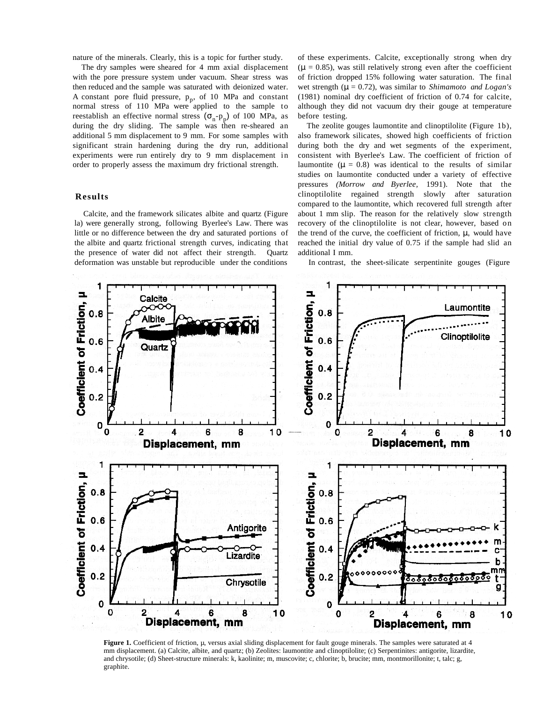nature of the minerals. Clearly, this is a topic for further study.

The dry samples were sheared for 4 mm axial displacement with the pore pressure system under vacuum. Shear stress was then reduced and the sample was saturated with deionized water. A constant pore fluid pressure,  $p_p$ , of 10 MPa and constant normal stress of 110 MPa were applied to the sample to reestablish an effective normal stress  $(\sigma_n-p_p)$  of 100 MPa, as during the dry sliding. The sample was then re-sheared an additional 5 mm displacement to 9 mm. For some samples with significant strain hardening during the dry run, additional experiments were run entirely dry to 9 mm displacement in order to properly assess the maximum dry frictional strength.

# **Results**

Calcite, and the framework silicates albite and quartz (Figure la) were generally strong, following Byerlee's Law. There was little or no difference between the dry and saturated portions of the albite and quartz frictional strength curves, indicating that the presence of water did not affect their strength. Quartz deformation was unstable but reproducible under the conditions

of these experiments. Calcite, exceptionally strong when dry  $(\mu = 0.85)$ , was still relatively strong even after the coefficient of friction dropped 15% following water saturation. The final wet strength ( $\mu = 0.72$ ), was similar to *Shimamoto and Logan's* (1981) nominal dry coefficient of friction of 0.74 for calcite, although they did not vacuum dry their gouge at temperature before testing.

The zeolite gouges laumontite and clinoptilolite (Figure 1b), also framework silicates, showed high coefficients of friction during both the dry and wet segments of the experiment, consistent with Byerlee's Law. The coefficient of friction of laumontite ( $\mu = 0.8$ ) was identical to the results of similar studies on laumontite conducted under a variety of effective pressures *(Morrow and Byerlee,* 1991). Note that the clinoptilolite regained strength slowly after saturation compared to the laumontite, which recovered full strength after about 1 mm slip. The reason for the relatively slow strength recovery of the clinoptilolite is not clear, however, based on the trend of the curve, the coefficient of friction,  $\mu$ , would have reached the initial dry value of 0.75 if the sample had slid an additional I mm.





Figure 1. Coefficient of friction,  $\mu$ , versus axial sliding displacement for fault gouge minerals. The samples were saturated at 4 mm displacement. (a) Calcite, albite, and quartz; (b) Zeolites: laumontite and clinoptilolite; (c) Serpentinites: antigorite, lizardite, and chrysotile; (d) Sheet-structure minerals: k, kaolinite; m, muscovite; c, chlorite; b, brucite; mm, montmorillonite; t, talc; g, graphite.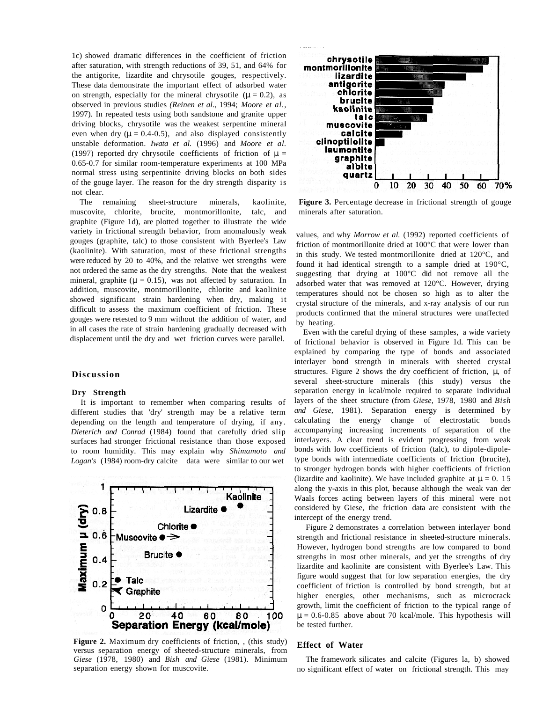1c) showed dramatic differences in the coefficient of friction after saturation, with strength reductions of 39, 51, and 64% for the antigorite, lizardite and chrysotile gouges, respectively. These data demonstrate the important effect of adsorbed water on strength, especially for the mineral chrysotile ( $\mu = 0.2$ ), as observed in previous studies *(Reinen et al*., 1994; *Moore et al.,* 1997). In repeated tests using both sandstone and granite upper driving blocks, chrysotile was the weakest serpentine mineral even when dry ( $\mu = 0.4$ -0.5), and also displayed consistently unstable deformation. *Iwata et al.* (1996) and *Moore et al.* (1997) reported dry chrysotile coefficients of friction of  $\mu =$ 0.65-0.7 for similar room-temperature experiments at 100 MPa normal stress using serpentinite driving blocks on both sides of the gouge layer. The reason for the dry strength disparity is not clear.

The remaining sheet-structure minerals, kaolinite, muscovite, chlorite, brucite, montmorillonite, talc, and graphite (Figure 1d), are plotted together to illustrate the wide variety in frictional strength behavior, from anomalously weak gouges (graphite, talc) to those consistent with Byerlee's Law (kaolinite). With saturation, most of these frictional strengths were reduced by 20 to 40%, and the relative wet strengths were not ordered the same as the dry strengths. Note that the weakest mineral, graphite ( $\mu = 0.15$ ), was not affected by saturation. In addition, muscovite, montmorillonite, chlorite and kaolinite showed significant strain hardening when dry, making it difficult to assess the maximum coefficient of friction. These gouges were retested to 9 mm without the addition of water, and in all cases the rate of strain hardening gradually decreased with displacement until the dry and wet friction curves were parallel.

# **Discussion**

#### **Dry Strength**

It is important to remember when comparing results of different studies that 'dry' strength may be a relative term depending on the length and temperature of drying, if any. *Dieterich and Conrad* (1984) found that carefully dried slip surfaces had stronger frictional resistance than those exposed to room humidity. This may explain why *Shimamoto and Logan's* (1984) room-dry calcite data were similar to our wet



Figure 2. Maximum dry coefficients of friction, , (this study) versus separation energy of sheeted-structure minerals, from *Giese* (1978, 1980) and *Bish and Giese* (1981). Minimum separation energy shown for muscovite.



**Figure 3.** Percentage decrease in frictional strength of gouge minerals after saturation.

values, and why *Morrow et al.* (1992) reported coefficients of friction of montmorillonite dried at 100°C that were lower than in this study. We tested montmorillonite dried at 120°C, and found it had identical strength to a sample dried at 190°C, suggesting that drying at 100°C did not remove all the adsorbed water that was removed at 120°C. However, drying temperatures should not be chosen so high as to alter the crystal structure of the minerals, and x-ray analysis of our run products confirmed that the mineral structures were unaffected by heating.

Even with the careful drying of these samples, a wide variety of frictional behavior is observed in Figure 1d. This can be explained by comparing the type of bonds and associated interlayer bond strength in minerals with sheeted crystal structures. Figure 2 shows the dry coefficient of friction,  $\mu$ , of several sheet-structure minerals (this study) versus the separation energy in kcal/mole required to separate individual layers of the sheet structure (from *Giese,* 1978, 1980 and *Bish and Giese,* 1981). Separation energy is determined by calculating the energy change of electrostatic bonds accompanying increasing increments of separation of the interlayers. A clear trend is evident progressing from weak bonds with low coefficients of friction (talc), to dipole-dipoletype bonds with intermediate coefficients of friction (brucite), to stronger hydrogen bonds with higher coefficients of friction (lizardite and kaolinite). We have included graphite at  $\mu = 0$ . 15 along the y-axis in this plot, because although the weak van der Waals forces acting between layers of this mineral were not considered by Giese, the friction data are consistent with the intercept of the energy trend.

Figure 2 demonstrates a correlation between interlayer bond strength and frictional resistance in sheeted-structure minerals. However, hydrogen bond strengths are low compared to bond strengths in most other minerals, and yet the strengths of dry lizardite and kaolinite are consistent with Byerlee's Law. This figure would suggest that for low separation energies, the dry coefficient of friction is controlled by bond strength, but at higher energies, other mechanisms, such as microcrack growth, limit the coefficient of friction to the typical range of  $\mu = 0.6 - 0.85$  above about 70 kcal/mole. This hypothesis will be tested further.

## **Effect of Water**

The framework silicates and calcite (Figures la, b) showed no significant effect of water on frictional strength. This may